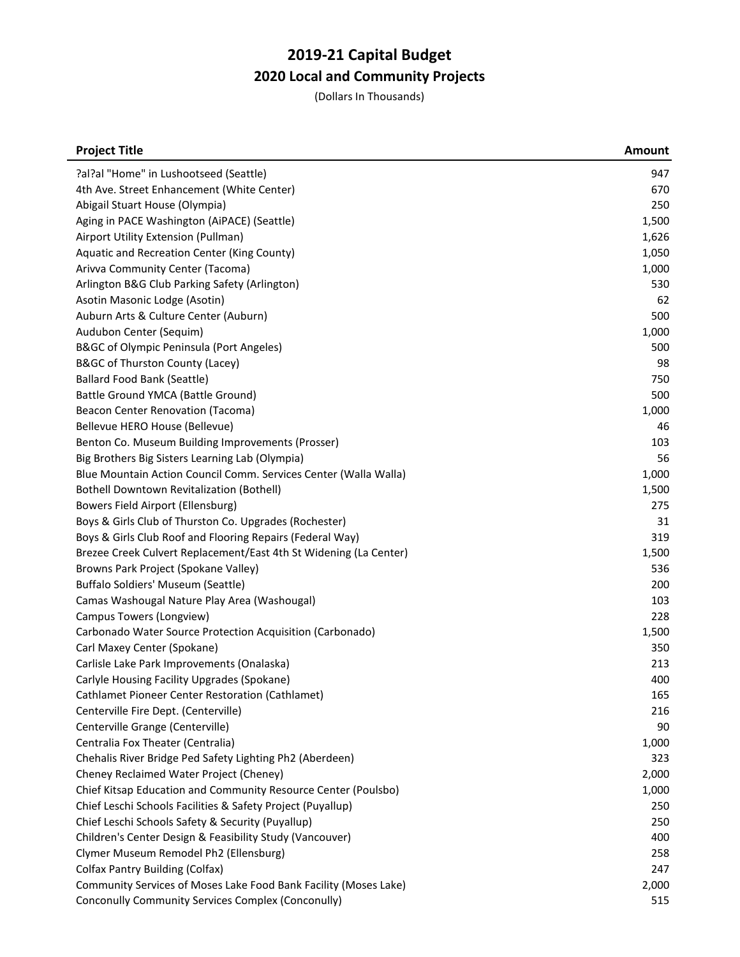| <b>Project Title</b>                                              | <b>Amount</b> |
|-------------------------------------------------------------------|---------------|
| ?al?al "Home" in Lushootseed (Seattle)                            | 947           |
| 4th Ave. Street Enhancement (White Center)                        | 670           |
| Abigail Stuart House (Olympia)                                    | 250           |
| Aging in PACE Washington (AiPACE) (Seattle)                       | 1,500         |
| Airport Utility Extension (Pullman)                               | 1,626         |
| Aquatic and Recreation Center (King County)                       | 1,050         |
| Arivva Community Center (Tacoma)                                  | 1,000         |
| Arlington B&G Club Parking Safety (Arlington)                     | 530           |
| Asotin Masonic Lodge (Asotin)                                     | 62            |
| Auburn Arts & Culture Center (Auburn)                             | 500           |
| Audubon Center (Sequim)                                           | 1,000         |
| B&GC of Olympic Peninsula (Port Angeles)                          | 500           |
| B&GC of Thurston County (Lacey)                                   | 98            |
| <b>Ballard Food Bank (Seattle)</b>                                | 750           |
| Battle Ground YMCA (Battle Ground)                                | 500           |
| Beacon Center Renovation (Tacoma)                                 | 1,000         |
| Bellevue HERO House (Bellevue)                                    | 46            |
| Benton Co. Museum Building Improvements (Prosser)                 | 103           |
| Big Brothers Big Sisters Learning Lab (Olympia)                   | 56            |
| Blue Mountain Action Council Comm. Services Center (Walla Walla)  | 1,000         |
| <b>Bothell Downtown Revitalization (Bothell)</b>                  | 1,500         |
| Bowers Field Airport (Ellensburg)                                 | 275           |
| Boys & Girls Club of Thurston Co. Upgrades (Rochester)            | 31            |
| Boys & Girls Club Roof and Flooring Repairs (Federal Way)         | 319           |
| Brezee Creek Culvert Replacement/East 4th St Widening (La Center) | 1,500         |
| Browns Park Project (Spokane Valley)                              | 536           |
| Buffalo Soldiers' Museum (Seattle)                                | 200           |
| Camas Washougal Nature Play Area (Washougal)                      | 103           |
| Campus Towers (Longview)                                          | 228           |
| Carbonado Water Source Protection Acquisition (Carbonado)         | 1,500         |
| Carl Maxey Center (Spokane)                                       | 350           |
| Carlisle Lake Park Improvements (Onalaska)                        | 213           |
| Carlyle Housing Facility Upgrades (Spokane)                       | 400           |
| Cathlamet Pioneer Center Restoration (Cathlamet)                  | 165           |
| Centerville Fire Dept. (Centerville)                              | 216           |
| Centerville Grange (Centerville)                                  | 90            |
| Centralia Fox Theater (Centralia)                                 | 1,000         |
| Chehalis River Bridge Ped Safety Lighting Ph2 (Aberdeen)          | 323           |
| Cheney Reclaimed Water Project (Cheney)                           | 2,000         |
| Chief Kitsap Education and Community Resource Center (Poulsbo)    | 1,000         |
| Chief Leschi Schools Facilities & Safety Project (Puyallup)       | 250           |
| Chief Leschi Schools Safety & Security (Puyallup)                 | 250           |
| Children's Center Design & Feasibility Study (Vancouver)          | 400           |
| Clymer Museum Remodel Ph2 (Ellensburg)                            | 258           |
| <b>Colfax Pantry Building (Colfax)</b>                            | 247           |
| Community Services of Moses Lake Food Bank Facility (Moses Lake)  | 2,000         |
| Conconully Community Services Complex (Conconully)                | 515           |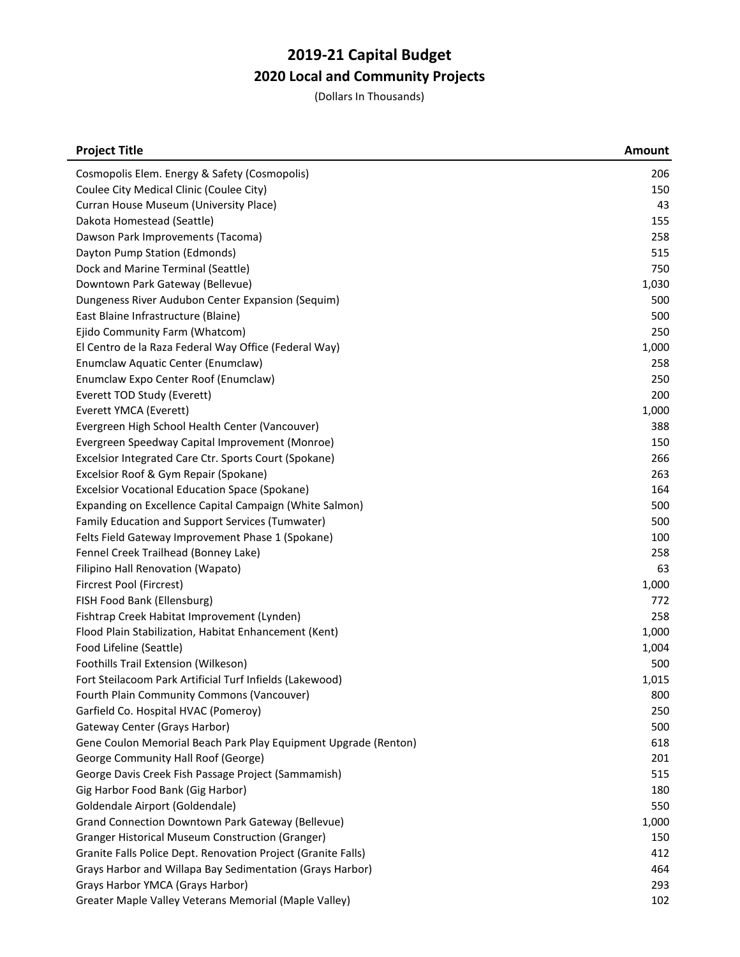| <b>Project Title</b>                                            | <b>Amount</b> |
|-----------------------------------------------------------------|---------------|
| Cosmopolis Elem. Energy & Safety (Cosmopolis)                   | 206           |
| Coulee City Medical Clinic (Coulee City)                        | 150           |
| Curran House Museum (University Place)                          | 43            |
| Dakota Homestead (Seattle)                                      | 155           |
| Dawson Park Improvements (Tacoma)                               | 258           |
| Dayton Pump Station (Edmonds)                                   | 515           |
| Dock and Marine Terminal (Seattle)                              | 750           |
| Downtown Park Gateway (Bellevue)                                | 1,030         |
| Dungeness River Audubon Center Expansion (Sequim)               | 500           |
| East Blaine Infrastructure (Blaine)                             | 500           |
| Ejido Community Farm (Whatcom)                                  | 250           |
| El Centro de la Raza Federal Way Office (Federal Way)           | 1,000         |
| Enumclaw Aquatic Center (Enumclaw)                              | 258           |
| Enumclaw Expo Center Roof (Enumclaw)                            | 250           |
| Everett TOD Study (Everett)                                     | 200           |
| Everett YMCA (Everett)                                          | 1,000         |
| Evergreen High School Health Center (Vancouver)                 | 388           |
| Evergreen Speedway Capital Improvement (Monroe)                 | 150           |
| Excelsior Integrated Care Ctr. Sports Court (Spokane)           | 266           |
| Excelsior Roof & Gym Repair (Spokane)                           | 263           |
| <b>Excelsior Vocational Education Space (Spokane)</b>           | 164           |
| Expanding on Excellence Capital Campaign (White Salmon)         | 500           |
| Family Education and Support Services (Tumwater)                | 500           |
| Felts Field Gateway Improvement Phase 1 (Spokane)               | 100           |
| Fennel Creek Trailhead (Bonney Lake)                            | 258           |
| Filipino Hall Renovation (Wapato)                               | 63            |
| Fircrest Pool (Fircrest)                                        | 1,000         |
| FISH Food Bank (Ellensburg)                                     | 772           |
| Fishtrap Creek Habitat Improvement (Lynden)                     | 258           |
| Flood Plain Stabilization, Habitat Enhancement (Kent)           | 1,000         |
| Food Lifeline (Seattle)                                         | 1,004         |
| Foothills Trail Extension (Wilkeson)                            | 500           |
| Fort Steilacoom Park Artificial Turf Infields (Lakewood)        | 1,015         |
| Fourth Plain Community Commons (Vancouver)                      | 800           |
| Garfield Co. Hospital HVAC (Pomeroy)                            | 250           |
| Gateway Center (Grays Harbor)                                   | 500           |
| Gene Coulon Memorial Beach Park Play Equipment Upgrade (Renton) | 618           |
| George Community Hall Roof (George)                             | 201           |
| George Davis Creek Fish Passage Project (Sammamish)             | 515           |
| Gig Harbor Food Bank (Gig Harbor)                               | 180           |
| Goldendale Airport (Goldendale)                                 | 550           |
| Grand Connection Downtown Park Gateway (Bellevue)               | 1,000         |
| Granger Historical Museum Construction (Granger)                | 150           |
| Granite Falls Police Dept. Renovation Project (Granite Falls)   | 412           |
| Grays Harbor and Willapa Bay Sedimentation (Grays Harbor)       | 464           |
| Grays Harbor YMCA (Grays Harbor)                                | 293           |
| Greater Maple Valley Veterans Memorial (Maple Valley)           | 102           |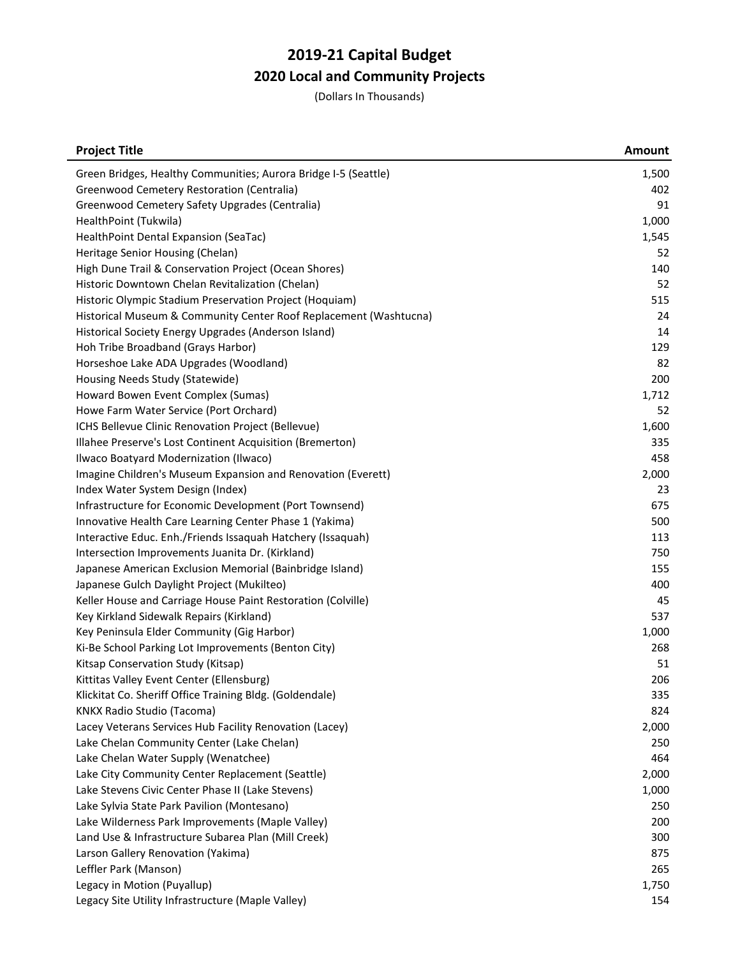| <b>Project Title</b>                                              | <b>Amount</b> |
|-------------------------------------------------------------------|---------------|
| Green Bridges, Healthy Communities; Aurora Bridge I-5 (Seattle)   | 1,500         |
| Greenwood Cemetery Restoration (Centralia)                        | 402           |
| Greenwood Cemetery Safety Upgrades (Centralia)                    | 91            |
| HealthPoint (Tukwila)                                             | 1,000         |
| HealthPoint Dental Expansion (SeaTac)                             | 1,545         |
| Heritage Senior Housing (Chelan)                                  | 52            |
| High Dune Trail & Conservation Project (Ocean Shores)             | 140           |
| Historic Downtown Chelan Revitalization (Chelan)                  | 52            |
| Historic Olympic Stadium Preservation Project (Hoquiam)           | 515           |
| Historical Museum & Community Center Roof Replacement (Washtucna) | 24            |
| Historical Society Energy Upgrades (Anderson Island)              | 14            |
| Hoh Tribe Broadband (Grays Harbor)                                | 129           |
| Horseshoe Lake ADA Upgrades (Woodland)                            | 82            |
| Housing Needs Study (Statewide)                                   | 200           |
| Howard Bowen Event Complex (Sumas)                                | 1,712         |
| Howe Farm Water Service (Port Orchard)                            | 52            |
| ICHS Bellevue Clinic Renovation Project (Bellevue)                | 1,600         |
| Illahee Preserve's Lost Continent Acquisition (Bremerton)         | 335           |
| Ilwaco Boatyard Modernization (Ilwaco)                            | 458           |
| Imagine Children's Museum Expansion and Renovation (Everett)      | 2,000         |
| Index Water System Design (Index)                                 | 23            |
| Infrastructure for Economic Development (Port Townsend)           | 675           |
| Innovative Health Care Learning Center Phase 1 (Yakima)           | 500           |
| Interactive Educ. Enh./Friends Issaquah Hatchery (Issaquah)       | 113           |
| Intersection Improvements Juanita Dr. (Kirkland)                  | 750           |
| Japanese American Exclusion Memorial (Bainbridge Island)          | 155           |
| Japanese Gulch Daylight Project (Mukilteo)                        | 400           |
| Keller House and Carriage House Paint Restoration (Colville)      | 45            |
| Key Kirkland Sidewalk Repairs (Kirkland)                          | 537           |
| Key Peninsula Elder Community (Gig Harbor)                        | 1,000         |
| Ki-Be School Parking Lot Improvements (Benton City)               | 268           |
| Kitsap Conservation Study (Kitsap)                                | 51            |
| Kittitas Valley Event Center (Ellensburg)                         | 206           |
| Klickitat Co. Sheriff Office Training Bldg. (Goldendale)          | 335           |
| <b>KNKX Radio Studio (Tacoma)</b>                                 | 824           |
| Lacey Veterans Services Hub Facility Renovation (Lacey)           | 2,000         |
| Lake Chelan Community Center (Lake Chelan)                        | 250           |
| Lake Chelan Water Supply (Wenatchee)                              | 464           |
| Lake City Community Center Replacement (Seattle)                  | 2,000         |
| Lake Stevens Civic Center Phase II (Lake Stevens)                 | 1,000         |
| Lake Sylvia State Park Pavilion (Montesano)                       | 250           |
| Lake Wilderness Park Improvements (Maple Valley)                  | 200           |
| Land Use & Infrastructure Subarea Plan (Mill Creek)               | 300           |
| Larson Gallery Renovation (Yakima)                                | 875           |
| Leffler Park (Manson)                                             | 265           |
| Legacy in Motion (Puyallup)                                       | 1,750         |
| Legacy Site Utility Infrastructure (Maple Valley)                 | 154           |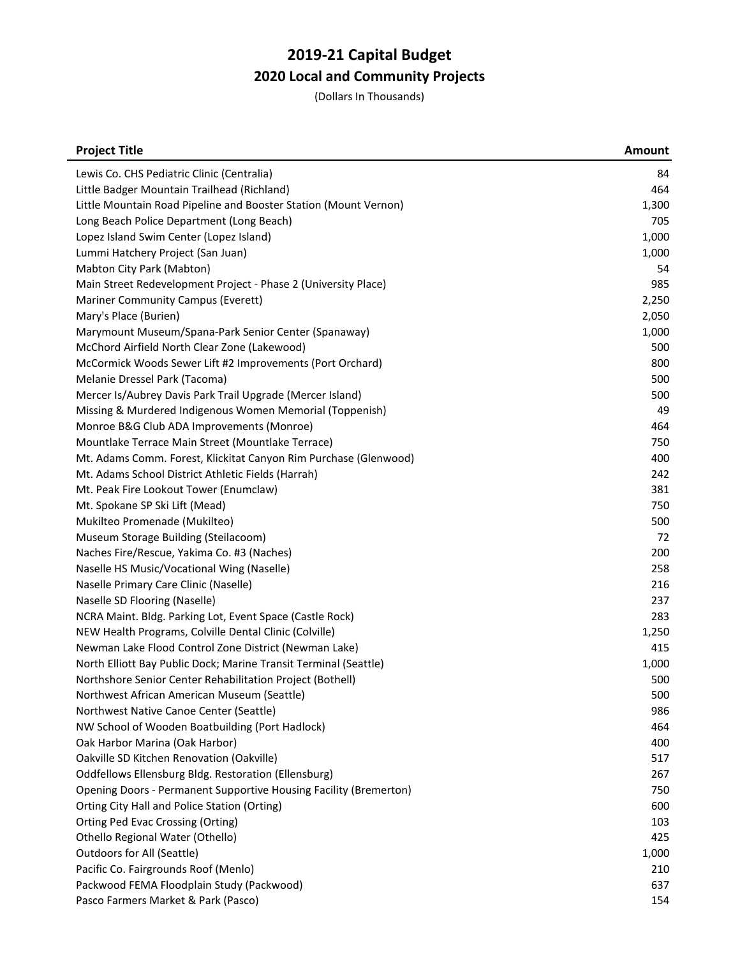| Lewis Co. CHS Pediatric Clinic (Centralia)<br>84<br>Little Badger Mountain Trailhead (Richland)<br>464<br>Little Mountain Road Pipeline and Booster Station (Mount Vernon)<br>1,300<br>Long Beach Police Department (Long Beach)<br>705<br>Lopez Island Swim Center (Lopez Island)<br>1,000<br>Lummi Hatchery Project (San Juan)<br>1,000<br>Mabton City Park (Mabton)<br>54<br>985<br>Main Street Redevelopment Project - Phase 2 (University Place)<br>Mariner Community Campus (Everett)<br>2,250<br>Mary's Place (Burien)<br>2,050<br>Marymount Museum/Spana-Park Senior Center (Spanaway)<br>1,000<br>McChord Airfield North Clear Zone (Lakewood)<br>500<br>800<br>McCormick Woods Sewer Lift #2 Improvements (Port Orchard)<br>Melanie Dressel Park (Tacoma)<br>500<br>Mercer Is/Aubrey Davis Park Trail Upgrade (Mercer Island)<br>500<br>49<br>Missing & Murdered Indigenous Women Memorial (Toppenish)<br>Monroe B&G Club ADA Improvements (Monroe)<br>464<br>Mountlake Terrace Main Street (Mountlake Terrace)<br>750<br>Mt. Adams Comm. Forest, Klickitat Canyon Rim Purchase (Glenwood)<br>400<br>Mt. Adams School District Athletic Fields (Harrah)<br>242<br>Mt. Peak Fire Lookout Tower (Enumclaw)<br>381<br>Mt. Spokane SP Ski Lift (Mead)<br>750<br>Mukilteo Promenade (Mukilteo)<br>500<br>Museum Storage Building (Steilacoom)<br>72<br>Naches Fire/Rescue, Yakima Co. #3 (Naches)<br>200<br>Naselle HS Music/Vocational Wing (Naselle)<br>258<br>Naselle Primary Care Clinic (Naselle)<br>216<br>237<br>Naselle SD Flooring (Naselle)<br>NCRA Maint. Bldg. Parking Lot, Event Space (Castle Rock)<br>283<br>NEW Health Programs, Colville Dental Clinic (Colville)<br>1,250<br>Newman Lake Flood Control Zone District (Newman Lake)<br>415<br>North Elliott Bay Public Dock; Marine Transit Terminal (Seattle)<br>1,000<br>Northshore Senior Center Rehabilitation Project (Bothell)<br>500<br>500<br>Northwest African American Museum (Seattle)<br>Northwest Native Canoe Center (Seattle)<br>986<br>NW School of Wooden Boatbuilding (Port Hadlock)<br>464<br>Oak Harbor Marina (Oak Harbor)<br>400<br>Oakville SD Kitchen Renovation (Oakville)<br>517<br>Oddfellows Ellensburg Bldg. Restoration (Ellensburg)<br>267<br>Opening Doors - Permanent Supportive Housing Facility (Bremerton)<br>750<br>Orting City Hall and Police Station (Orting)<br>600<br>Orting Ped Evac Crossing (Orting)<br>103<br>Othello Regional Water (Othello)<br>425<br>Outdoors for All (Seattle)<br>1,000<br>Pacific Co. Fairgrounds Roof (Menlo)<br>210<br>Packwood FEMA Floodplain Study (Packwood)<br>637<br>Pasco Farmers Market & Park (Pasco)<br>154 | <b>Project Title</b> | <b>Amount</b> |
|-------------------------------------------------------------------------------------------------------------------------------------------------------------------------------------------------------------------------------------------------------------------------------------------------------------------------------------------------------------------------------------------------------------------------------------------------------------------------------------------------------------------------------------------------------------------------------------------------------------------------------------------------------------------------------------------------------------------------------------------------------------------------------------------------------------------------------------------------------------------------------------------------------------------------------------------------------------------------------------------------------------------------------------------------------------------------------------------------------------------------------------------------------------------------------------------------------------------------------------------------------------------------------------------------------------------------------------------------------------------------------------------------------------------------------------------------------------------------------------------------------------------------------------------------------------------------------------------------------------------------------------------------------------------------------------------------------------------------------------------------------------------------------------------------------------------------------------------------------------------------------------------------------------------------------------------------------------------------------------------------------------------------------------------------------------------------------------------------------------------------------------------------------------------------------------------------------------------------------------------------------------------------------------------------------------------------------------------------------------------------------------------------------------------------------------------------------------------------------------------------------------------------------------------------------------------------------------------------------------------------------------------------------------------|----------------------|---------------|
|                                                                                                                                                                                                                                                                                                                                                                                                                                                                                                                                                                                                                                                                                                                                                                                                                                                                                                                                                                                                                                                                                                                                                                                                                                                                                                                                                                                                                                                                                                                                                                                                                                                                                                                                                                                                                                                                                                                                                                                                                                                                                                                                                                                                                                                                                                                                                                                                                                                                                                                                                                                                                                                                   |                      |               |
|                                                                                                                                                                                                                                                                                                                                                                                                                                                                                                                                                                                                                                                                                                                                                                                                                                                                                                                                                                                                                                                                                                                                                                                                                                                                                                                                                                                                                                                                                                                                                                                                                                                                                                                                                                                                                                                                                                                                                                                                                                                                                                                                                                                                                                                                                                                                                                                                                                                                                                                                                                                                                                                                   |                      |               |
|                                                                                                                                                                                                                                                                                                                                                                                                                                                                                                                                                                                                                                                                                                                                                                                                                                                                                                                                                                                                                                                                                                                                                                                                                                                                                                                                                                                                                                                                                                                                                                                                                                                                                                                                                                                                                                                                                                                                                                                                                                                                                                                                                                                                                                                                                                                                                                                                                                                                                                                                                                                                                                                                   |                      |               |
|                                                                                                                                                                                                                                                                                                                                                                                                                                                                                                                                                                                                                                                                                                                                                                                                                                                                                                                                                                                                                                                                                                                                                                                                                                                                                                                                                                                                                                                                                                                                                                                                                                                                                                                                                                                                                                                                                                                                                                                                                                                                                                                                                                                                                                                                                                                                                                                                                                                                                                                                                                                                                                                                   |                      |               |
|                                                                                                                                                                                                                                                                                                                                                                                                                                                                                                                                                                                                                                                                                                                                                                                                                                                                                                                                                                                                                                                                                                                                                                                                                                                                                                                                                                                                                                                                                                                                                                                                                                                                                                                                                                                                                                                                                                                                                                                                                                                                                                                                                                                                                                                                                                                                                                                                                                                                                                                                                                                                                                                                   |                      |               |
|                                                                                                                                                                                                                                                                                                                                                                                                                                                                                                                                                                                                                                                                                                                                                                                                                                                                                                                                                                                                                                                                                                                                                                                                                                                                                                                                                                                                                                                                                                                                                                                                                                                                                                                                                                                                                                                                                                                                                                                                                                                                                                                                                                                                                                                                                                                                                                                                                                                                                                                                                                                                                                                                   |                      |               |
|                                                                                                                                                                                                                                                                                                                                                                                                                                                                                                                                                                                                                                                                                                                                                                                                                                                                                                                                                                                                                                                                                                                                                                                                                                                                                                                                                                                                                                                                                                                                                                                                                                                                                                                                                                                                                                                                                                                                                                                                                                                                                                                                                                                                                                                                                                                                                                                                                                                                                                                                                                                                                                                                   |                      |               |
|                                                                                                                                                                                                                                                                                                                                                                                                                                                                                                                                                                                                                                                                                                                                                                                                                                                                                                                                                                                                                                                                                                                                                                                                                                                                                                                                                                                                                                                                                                                                                                                                                                                                                                                                                                                                                                                                                                                                                                                                                                                                                                                                                                                                                                                                                                                                                                                                                                                                                                                                                                                                                                                                   |                      |               |
|                                                                                                                                                                                                                                                                                                                                                                                                                                                                                                                                                                                                                                                                                                                                                                                                                                                                                                                                                                                                                                                                                                                                                                                                                                                                                                                                                                                                                                                                                                                                                                                                                                                                                                                                                                                                                                                                                                                                                                                                                                                                                                                                                                                                                                                                                                                                                                                                                                                                                                                                                                                                                                                                   |                      |               |
|                                                                                                                                                                                                                                                                                                                                                                                                                                                                                                                                                                                                                                                                                                                                                                                                                                                                                                                                                                                                                                                                                                                                                                                                                                                                                                                                                                                                                                                                                                                                                                                                                                                                                                                                                                                                                                                                                                                                                                                                                                                                                                                                                                                                                                                                                                                                                                                                                                                                                                                                                                                                                                                                   |                      |               |
|                                                                                                                                                                                                                                                                                                                                                                                                                                                                                                                                                                                                                                                                                                                                                                                                                                                                                                                                                                                                                                                                                                                                                                                                                                                                                                                                                                                                                                                                                                                                                                                                                                                                                                                                                                                                                                                                                                                                                                                                                                                                                                                                                                                                                                                                                                                                                                                                                                                                                                                                                                                                                                                                   |                      |               |
|                                                                                                                                                                                                                                                                                                                                                                                                                                                                                                                                                                                                                                                                                                                                                                                                                                                                                                                                                                                                                                                                                                                                                                                                                                                                                                                                                                                                                                                                                                                                                                                                                                                                                                                                                                                                                                                                                                                                                                                                                                                                                                                                                                                                                                                                                                                                                                                                                                                                                                                                                                                                                                                                   |                      |               |
|                                                                                                                                                                                                                                                                                                                                                                                                                                                                                                                                                                                                                                                                                                                                                                                                                                                                                                                                                                                                                                                                                                                                                                                                                                                                                                                                                                                                                                                                                                                                                                                                                                                                                                                                                                                                                                                                                                                                                                                                                                                                                                                                                                                                                                                                                                                                                                                                                                                                                                                                                                                                                                                                   |                      |               |
|                                                                                                                                                                                                                                                                                                                                                                                                                                                                                                                                                                                                                                                                                                                                                                                                                                                                                                                                                                                                                                                                                                                                                                                                                                                                                                                                                                                                                                                                                                                                                                                                                                                                                                                                                                                                                                                                                                                                                                                                                                                                                                                                                                                                                                                                                                                                                                                                                                                                                                                                                                                                                                                                   |                      |               |
|                                                                                                                                                                                                                                                                                                                                                                                                                                                                                                                                                                                                                                                                                                                                                                                                                                                                                                                                                                                                                                                                                                                                                                                                                                                                                                                                                                                                                                                                                                                                                                                                                                                                                                                                                                                                                                                                                                                                                                                                                                                                                                                                                                                                                                                                                                                                                                                                                                                                                                                                                                                                                                                                   |                      |               |
|                                                                                                                                                                                                                                                                                                                                                                                                                                                                                                                                                                                                                                                                                                                                                                                                                                                                                                                                                                                                                                                                                                                                                                                                                                                                                                                                                                                                                                                                                                                                                                                                                                                                                                                                                                                                                                                                                                                                                                                                                                                                                                                                                                                                                                                                                                                                                                                                                                                                                                                                                                                                                                                                   |                      |               |
|                                                                                                                                                                                                                                                                                                                                                                                                                                                                                                                                                                                                                                                                                                                                                                                                                                                                                                                                                                                                                                                                                                                                                                                                                                                                                                                                                                                                                                                                                                                                                                                                                                                                                                                                                                                                                                                                                                                                                                                                                                                                                                                                                                                                                                                                                                                                                                                                                                                                                                                                                                                                                                                                   |                      |               |
|                                                                                                                                                                                                                                                                                                                                                                                                                                                                                                                                                                                                                                                                                                                                                                                                                                                                                                                                                                                                                                                                                                                                                                                                                                                                                                                                                                                                                                                                                                                                                                                                                                                                                                                                                                                                                                                                                                                                                                                                                                                                                                                                                                                                                                                                                                                                                                                                                                                                                                                                                                                                                                                                   |                      |               |
|                                                                                                                                                                                                                                                                                                                                                                                                                                                                                                                                                                                                                                                                                                                                                                                                                                                                                                                                                                                                                                                                                                                                                                                                                                                                                                                                                                                                                                                                                                                                                                                                                                                                                                                                                                                                                                                                                                                                                                                                                                                                                                                                                                                                                                                                                                                                                                                                                                                                                                                                                                                                                                                                   |                      |               |
|                                                                                                                                                                                                                                                                                                                                                                                                                                                                                                                                                                                                                                                                                                                                                                                                                                                                                                                                                                                                                                                                                                                                                                                                                                                                                                                                                                                                                                                                                                                                                                                                                                                                                                                                                                                                                                                                                                                                                                                                                                                                                                                                                                                                                                                                                                                                                                                                                                                                                                                                                                                                                                                                   |                      |               |
|                                                                                                                                                                                                                                                                                                                                                                                                                                                                                                                                                                                                                                                                                                                                                                                                                                                                                                                                                                                                                                                                                                                                                                                                                                                                                                                                                                                                                                                                                                                                                                                                                                                                                                                                                                                                                                                                                                                                                                                                                                                                                                                                                                                                                                                                                                                                                                                                                                                                                                                                                                                                                                                                   |                      |               |
|                                                                                                                                                                                                                                                                                                                                                                                                                                                                                                                                                                                                                                                                                                                                                                                                                                                                                                                                                                                                                                                                                                                                                                                                                                                                                                                                                                                                                                                                                                                                                                                                                                                                                                                                                                                                                                                                                                                                                                                                                                                                                                                                                                                                                                                                                                                                                                                                                                                                                                                                                                                                                                                                   |                      |               |
|                                                                                                                                                                                                                                                                                                                                                                                                                                                                                                                                                                                                                                                                                                                                                                                                                                                                                                                                                                                                                                                                                                                                                                                                                                                                                                                                                                                                                                                                                                                                                                                                                                                                                                                                                                                                                                                                                                                                                                                                                                                                                                                                                                                                                                                                                                                                                                                                                                                                                                                                                                                                                                                                   |                      |               |
|                                                                                                                                                                                                                                                                                                                                                                                                                                                                                                                                                                                                                                                                                                                                                                                                                                                                                                                                                                                                                                                                                                                                                                                                                                                                                                                                                                                                                                                                                                                                                                                                                                                                                                                                                                                                                                                                                                                                                                                                                                                                                                                                                                                                                                                                                                                                                                                                                                                                                                                                                                                                                                                                   |                      |               |
|                                                                                                                                                                                                                                                                                                                                                                                                                                                                                                                                                                                                                                                                                                                                                                                                                                                                                                                                                                                                                                                                                                                                                                                                                                                                                                                                                                                                                                                                                                                                                                                                                                                                                                                                                                                                                                                                                                                                                                                                                                                                                                                                                                                                                                                                                                                                                                                                                                                                                                                                                                                                                                                                   |                      |               |
|                                                                                                                                                                                                                                                                                                                                                                                                                                                                                                                                                                                                                                                                                                                                                                                                                                                                                                                                                                                                                                                                                                                                                                                                                                                                                                                                                                                                                                                                                                                                                                                                                                                                                                                                                                                                                                                                                                                                                                                                                                                                                                                                                                                                                                                                                                                                                                                                                                                                                                                                                                                                                                                                   |                      |               |
|                                                                                                                                                                                                                                                                                                                                                                                                                                                                                                                                                                                                                                                                                                                                                                                                                                                                                                                                                                                                                                                                                                                                                                                                                                                                                                                                                                                                                                                                                                                                                                                                                                                                                                                                                                                                                                                                                                                                                                                                                                                                                                                                                                                                                                                                                                                                                                                                                                                                                                                                                                                                                                                                   |                      |               |
|                                                                                                                                                                                                                                                                                                                                                                                                                                                                                                                                                                                                                                                                                                                                                                                                                                                                                                                                                                                                                                                                                                                                                                                                                                                                                                                                                                                                                                                                                                                                                                                                                                                                                                                                                                                                                                                                                                                                                                                                                                                                                                                                                                                                                                                                                                                                                                                                                                                                                                                                                                                                                                                                   |                      |               |
|                                                                                                                                                                                                                                                                                                                                                                                                                                                                                                                                                                                                                                                                                                                                                                                                                                                                                                                                                                                                                                                                                                                                                                                                                                                                                                                                                                                                                                                                                                                                                                                                                                                                                                                                                                                                                                                                                                                                                                                                                                                                                                                                                                                                                                                                                                                                                                                                                                                                                                                                                                                                                                                                   |                      |               |
|                                                                                                                                                                                                                                                                                                                                                                                                                                                                                                                                                                                                                                                                                                                                                                                                                                                                                                                                                                                                                                                                                                                                                                                                                                                                                                                                                                                                                                                                                                                                                                                                                                                                                                                                                                                                                                                                                                                                                                                                                                                                                                                                                                                                                                                                                                                                                                                                                                                                                                                                                                                                                                                                   |                      |               |
|                                                                                                                                                                                                                                                                                                                                                                                                                                                                                                                                                                                                                                                                                                                                                                                                                                                                                                                                                                                                                                                                                                                                                                                                                                                                                                                                                                                                                                                                                                                                                                                                                                                                                                                                                                                                                                                                                                                                                                                                                                                                                                                                                                                                                                                                                                                                                                                                                                                                                                                                                                                                                                                                   |                      |               |
|                                                                                                                                                                                                                                                                                                                                                                                                                                                                                                                                                                                                                                                                                                                                                                                                                                                                                                                                                                                                                                                                                                                                                                                                                                                                                                                                                                                                                                                                                                                                                                                                                                                                                                                                                                                                                                                                                                                                                                                                                                                                                                                                                                                                                                                                                                                                                                                                                                                                                                                                                                                                                                                                   |                      |               |
|                                                                                                                                                                                                                                                                                                                                                                                                                                                                                                                                                                                                                                                                                                                                                                                                                                                                                                                                                                                                                                                                                                                                                                                                                                                                                                                                                                                                                                                                                                                                                                                                                                                                                                                                                                                                                                                                                                                                                                                                                                                                                                                                                                                                                                                                                                                                                                                                                                                                                                                                                                                                                                                                   |                      |               |
|                                                                                                                                                                                                                                                                                                                                                                                                                                                                                                                                                                                                                                                                                                                                                                                                                                                                                                                                                                                                                                                                                                                                                                                                                                                                                                                                                                                                                                                                                                                                                                                                                                                                                                                                                                                                                                                                                                                                                                                                                                                                                                                                                                                                                                                                                                                                                                                                                                                                                                                                                                                                                                                                   |                      |               |
|                                                                                                                                                                                                                                                                                                                                                                                                                                                                                                                                                                                                                                                                                                                                                                                                                                                                                                                                                                                                                                                                                                                                                                                                                                                                                                                                                                                                                                                                                                                                                                                                                                                                                                                                                                                                                                                                                                                                                                                                                                                                                                                                                                                                                                                                                                                                                                                                                                                                                                                                                                                                                                                                   |                      |               |
|                                                                                                                                                                                                                                                                                                                                                                                                                                                                                                                                                                                                                                                                                                                                                                                                                                                                                                                                                                                                                                                                                                                                                                                                                                                                                                                                                                                                                                                                                                                                                                                                                                                                                                                                                                                                                                                                                                                                                                                                                                                                                                                                                                                                                                                                                                                                                                                                                                                                                                                                                                                                                                                                   |                      |               |
|                                                                                                                                                                                                                                                                                                                                                                                                                                                                                                                                                                                                                                                                                                                                                                                                                                                                                                                                                                                                                                                                                                                                                                                                                                                                                                                                                                                                                                                                                                                                                                                                                                                                                                                                                                                                                                                                                                                                                                                                                                                                                                                                                                                                                                                                                                                                                                                                                                                                                                                                                                                                                                                                   |                      |               |
|                                                                                                                                                                                                                                                                                                                                                                                                                                                                                                                                                                                                                                                                                                                                                                                                                                                                                                                                                                                                                                                                                                                                                                                                                                                                                                                                                                                                                                                                                                                                                                                                                                                                                                                                                                                                                                                                                                                                                                                                                                                                                                                                                                                                                                                                                                                                                                                                                                                                                                                                                                                                                                                                   |                      |               |
|                                                                                                                                                                                                                                                                                                                                                                                                                                                                                                                                                                                                                                                                                                                                                                                                                                                                                                                                                                                                                                                                                                                                                                                                                                                                                                                                                                                                                                                                                                                                                                                                                                                                                                                                                                                                                                                                                                                                                                                                                                                                                                                                                                                                                                                                                                                                                                                                                                                                                                                                                                                                                                                                   |                      |               |
|                                                                                                                                                                                                                                                                                                                                                                                                                                                                                                                                                                                                                                                                                                                                                                                                                                                                                                                                                                                                                                                                                                                                                                                                                                                                                                                                                                                                                                                                                                                                                                                                                                                                                                                                                                                                                                                                                                                                                                                                                                                                                                                                                                                                                                                                                                                                                                                                                                                                                                                                                                                                                                                                   |                      |               |
|                                                                                                                                                                                                                                                                                                                                                                                                                                                                                                                                                                                                                                                                                                                                                                                                                                                                                                                                                                                                                                                                                                                                                                                                                                                                                                                                                                                                                                                                                                                                                                                                                                                                                                                                                                                                                                                                                                                                                                                                                                                                                                                                                                                                                                                                                                                                                                                                                                                                                                                                                                                                                                                                   |                      |               |
|                                                                                                                                                                                                                                                                                                                                                                                                                                                                                                                                                                                                                                                                                                                                                                                                                                                                                                                                                                                                                                                                                                                                                                                                                                                                                                                                                                                                                                                                                                                                                                                                                                                                                                                                                                                                                                                                                                                                                                                                                                                                                                                                                                                                                                                                                                                                                                                                                                                                                                                                                                                                                                                                   |                      |               |
|                                                                                                                                                                                                                                                                                                                                                                                                                                                                                                                                                                                                                                                                                                                                                                                                                                                                                                                                                                                                                                                                                                                                                                                                                                                                                                                                                                                                                                                                                                                                                                                                                                                                                                                                                                                                                                                                                                                                                                                                                                                                                                                                                                                                                                                                                                                                                                                                                                                                                                                                                                                                                                                                   |                      |               |
|                                                                                                                                                                                                                                                                                                                                                                                                                                                                                                                                                                                                                                                                                                                                                                                                                                                                                                                                                                                                                                                                                                                                                                                                                                                                                                                                                                                                                                                                                                                                                                                                                                                                                                                                                                                                                                                                                                                                                                                                                                                                                                                                                                                                                                                                                                                                                                                                                                                                                                                                                                                                                                                                   |                      |               |
|                                                                                                                                                                                                                                                                                                                                                                                                                                                                                                                                                                                                                                                                                                                                                                                                                                                                                                                                                                                                                                                                                                                                                                                                                                                                                                                                                                                                                                                                                                                                                                                                                                                                                                                                                                                                                                                                                                                                                                                                                                                                                                                                                                                                                                                                                                                                                                                                                                                                                                                                                                                                                                                                   |                      |               |
|                                                                                                                                                                                                                                                                                                                                                                                                                                                                                                                                                                                                                                                                                                                                                                                                                                                                                                                                                                                                                                                                                                                                                                                                                                                                                                                                                                                                                                                                                                                                                                                                                                                                                                                                                                                                                                                                                                                                                                                                                                                                                                                                                                                                                                                                                                                                                                                                                                                                                                                                                                                                                                                                   |                      |               |
|                                                                                                                                                                                                                                                                                                                                                                                                                                                                                                                                                                                                                                                                                                                                                                                                                                                                                                                                                                                                                                                                                                                                                                                                                                                                                                                                                                                                                                                                                                                                                                                                                                                                                                                                                                                                                                                                                                                                                                                                                                                                                                                                                                                                                                                                                                                                                                                                                                                                                                                                                                                                                                                                   |                      |               |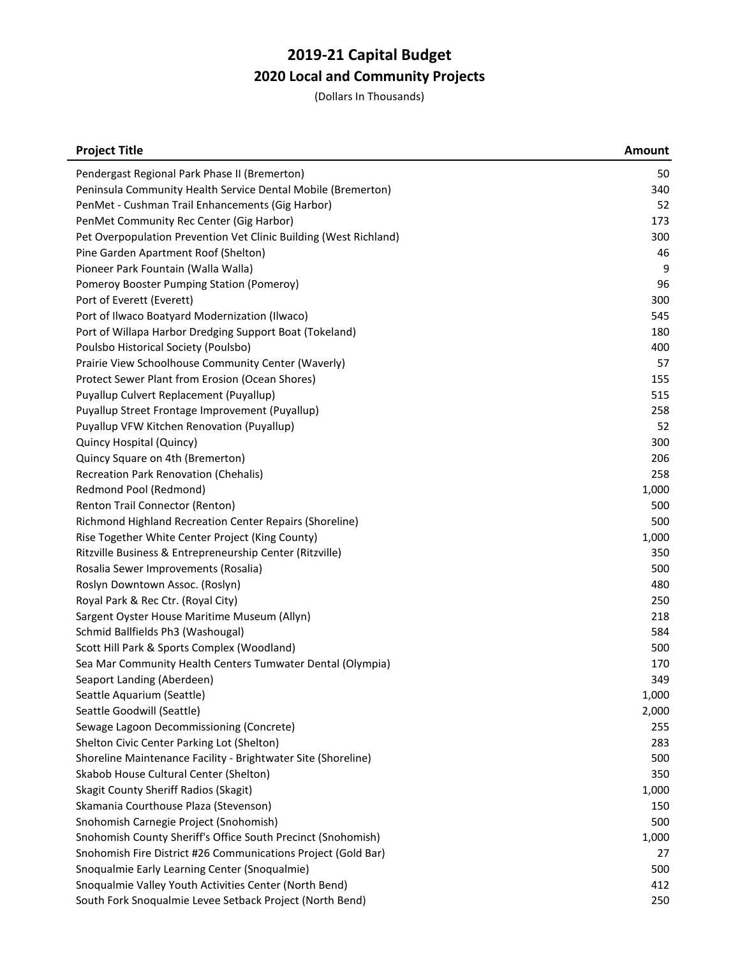| <b>Project Title</b>                                              | <b>Amount</b> |
|-------------------------------------------------------------------|---------------|
| Pendergast Regional Park Phase II (Bremerton)                     | 50            |
| Peninsula Community Health Service Dental Mobile (Bremerton)      | 340           |
| PenMet - Cushman Trail Enhancements (Gig Harbor)                  | 52            |
| PenMet Community Rec Center (Gig Harbor)                          | 173           |
| Pet Overpopulation Prevention Vet Clinic Building (West Richland) | 300           |
| Pine Garden Apartment Roof (Shelton)                              | 46            |
| Pioneer Park Fountain (Walla Walla)                               | 9             |
| Pomeroy Booster Pumping Station (Pomeroy)                         | 96            |
| Port of Everett (Everett)                                         | 300           |
| Port of Ilwaco Boatyard Modernization (Ilwaco)                    | 545           |
| Port of Willapa Harbor Dredging Support Boat (Tokeland)           | 180           |
| Poulsbo Historical Society (Poulsbo)                              | 400           |
| Prairie View Schoolhouse Community Center (Waverly)               | 57            |
| Protect Sewer Plant from Erosion (Ocean Shores)                   | 155           |
| Puyallup Culvert Replacement (Puyallup)                           | 515           |
| Puyallup Street Frontage Improvement (Puyallup)                   | 258           |
| Puyallup VFW Kitchen Renovation (Puyallup)                        | 52            |
| Quincy Hospital (Quincy)                                          | 300           |
| Quincy Square on 4th (Bremerton)                                  | 206           |
| Recreation Park Renovation (Chehalis)                             | 258           |
| Redmond Pool (Redmond)                                            | 1,000         |
| Renton Trail Connector (Renton)                                   | 500           |
| Richmond Highland Recreation Center Repairs (Shoreline)           | 500           |
| Rise Together White Center Project (King County)                  | 1,000         |
| Ritzville Business & Entrepreneurship Center (Ritzville)          | 350           |
| Rosalia Sewer Improvements (Rosalia)                              | 500           |
| Roslyn Downtown Assoc. (Roslyn)                                   | 480           |
| Royal Park & Rec Ctr. (Royal City)                                | 250           |
| Sargent Oyster House Maritime Museum (Allyn)                      | 218           |
| Schmid Ballfields Ph3 (Washougal)                                 | 584           |
| Scott Hill Park & Sports Complex (Woodland)                       | 500           |
| Sea Mar Community Health Centers Tumwater Dental (Olympia)        | 170           |
| Seaport Landing (Aberdeen)                                        | 349           |
| Seattle Aquarium (Seattle)                                        | 1,000         |
| Seattle Goodwill (Seattle)                                        | 2,000         |
| Sewage Lagoon Decommissioning (Concrete)                          | 255           |
| Shelton Civic Center Parking Lot (Shelton)                        | 283           |
| Shoreline Maintenance Facility - Brightwater Site (Shoreline)     | 500           |
| Skabob House Cultural Center (Shelton)                            | 350           |
| Skagit County Sheriff Radios (Skagit)                             | 1,000         |
| Skamania Courthouse Plaza (Stevenson)                             | 150           |
| Snohomish Carnegie Project (Snohomish)                            | 500           |
| Snohomish County Sheriff's Office South Precinct (Snohomish)      | 1,000         |
| Snohomish Fire District #26 Communications Project (Gold Bar)     | 27            |
| Snoqualmie Early Learning Center (Snoqualmie)                     | 500           |
| Snoqualmie Valley Youth Activities Center (North Bend)            | 412           |
| South Fork Snoqualmie Levee Setback Project (North Bend)          | 250           |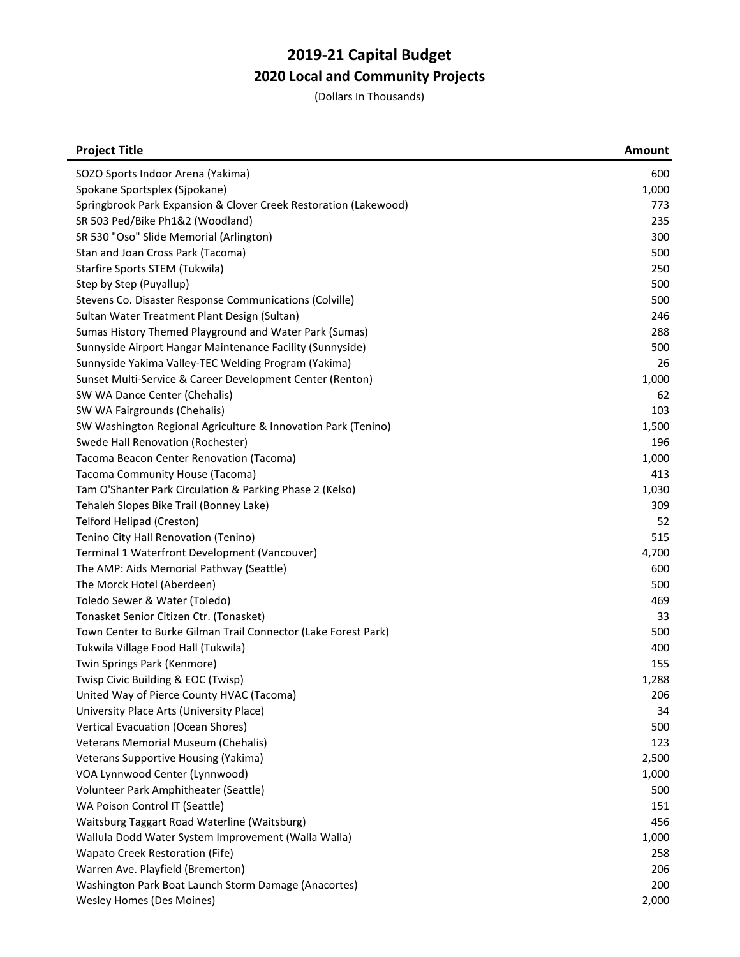| <b>Project Title</b>                                             | <b>Amount</b> |
|------------------------------------------------------------------|---------------|
| SOZO Sports Indoor Arena (Yakima)                                | 600           |
| Spokane Sportsplex (Sjpokane)                                    | 1,000         |
| Springbrook Park Expansion & Clover Creek Restoration (Lakewood) | 773           |
| SR 503 Ped/Bike Ph1&2 (Woodland)                                 | 235           |
| SR 530 "Oso" Slide Memorial (Arlington)                          | 300           |
| Stan and Joan Cross Park (Tacoma)                                | 500           |
| Starfire Sports STEM (Tukwila)                                   | 250           |
| Step by Step (Puyallup)                                          | 500           |
| Stevens Co. Disaster Response Communications (Colville)          | 500           |
| Sultan Water Treatment Plant Design (Sultan)                     | 246           |
| Sumas History Themed Playground and Water Park (Sumas)           | 288           |
| Sunnyside Airport Hangar Maintenance Facility (Sunnyside)        | 500           |
| Sunnyside Yakima Valley-TEC Welding Program (Yakima)             | 26            |
| Sunset Multi-Service & Career Development Center (Renton)        | 1,000         |
| SW WA Dance Center (Chehalis)                                    | 62            |
| SW WA Fairgrounds (Chehalis)                                     | 103           |
| SW Washington Regional Agriculture & Innovation Park (Tenino)    | 1,500         |
| Swede Hall Renovation (Rochester)                                | 196           |
| Tacoma Beacon Center Renovation (Tacoma)                         | 1,000         |
| Tacoma Community House (Tacoma)                                  | 413           |
| Tam O'Shanter Park Circulation & Parking Phase 2 (Kelso)         | 1,030         |
| Tehaleh Slopes Bike Trail (Bonney Lake)                          | 309           |
| <b>Telford Helipad (Creston)</b>                                 | 52            |
| Tenino City Hall Renovation (Tenino)                             | 515           |
| Terminal 1 Waterfront Development (Vancouver)                    | 4,700         |
| The AMP: Aids Memorial Pathway (Seattle)                         | 600           |
| The Morck Hotel (Aberdeen)                                       | 500           |
| Toledo Sewer & Water (Toledo)                                    | 469           |
| Tonasket Senior Citizen Ctr. (Tonasket)                          | 33            |
| Town Center to Burke Gilman Trail Connector (Lake Forest Park)   | 500           |
| Tukwila Village Food Hall (Tukwila)                              | 400           |
| Twin Springs Park (Kenmore)                                      | 155           |
| Twisp Civic Building & EOC (Twisp)                               | 1,288         |
| United Way of Pierce County HVAC (Tacoma)                        | 206           |
| University Place Arts (University Place)                         | 34            |
| Vertical Evacuation (Ocean Shores)                               | 500           |
| Veterans Memorial Museum (Chehalis)                              | 123           |
| Veterans Supportive Housing (Yakima)                             | 2,500         |
| VOA Lynnwood Center (Lynnwood)                                   | 1,000         |
| Volunteer Park Amphitheater (Seattle)                            | 500           |
| WA Poison Control IT (Seattle)                                   | 151           |
| Waitsburg Taggart Road Waterline (Waitsburg)                     | 456           |
| Wallula Dodd Water System Improvement (Walla Walla)              | 1,000         |
| Wapato Creek Restoration (Fife)                                  | 258           |
| Warren Ave. Playfield (Bremerton)                                | 206           |
| Washington Park Boat Launch Storm Damage (Anacortes)             | 200           |
| Wesley Homes (Des Moines)                                        | 2,000         |
|                                                                  |               |